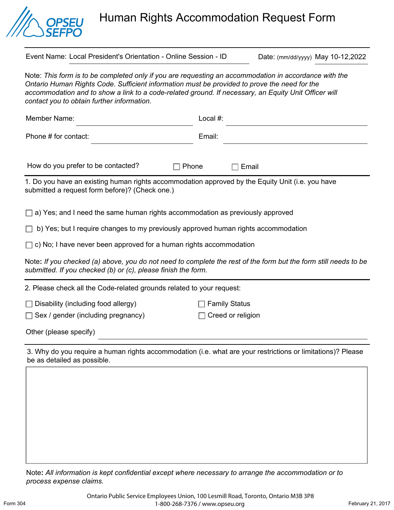

Human Rights Accommodation Request Form

Event Name: Local President's Orientation - Online Session - ID Date: (mm/dd/yyyy) May 10-12,2022

Note: *This form is to be completed only if you are requesting an accommodation in accordance with the Ontario Human Rights Code. Sufficient information must be provided to prove the need for the*  accommodation and to show a link to a code-related ground. If necessary, an Equity Unit Officer will *contact you to obtain further information.* 

| Member Name:                                                                                                                                                                     | Local #: |
|----------------------------------------------------------------------------------------------------------------------------------------------------------------------------------|----------|
| Phone # for contact:                                                                                                                                                             | Email:   |
| How do you prefer to be contacted?<br>Phone                                                                                                                                      | Email    |
| 1. Do you have an existing human rights accommodation approved by the Equity Unit (i.e. you have<br>submitted a request form before)? (Check one.)                               |          |
| $\Box$ a) Yes; and I need the same human rights accommodation as previously approved                                                                                             |          |
| b) Yes; but I require changes to my previously approved human rights accommodation<br>$\Box$                                                                                     |          |
| $\Box$ c) No; I have never been approved for a human rights accommodation                                                                                                        |          |
| Note: If you checked (a) above, you do not need to complete the rest of the form but the form still needs to be<br>submitted. If you checked (b) or (c), please finish the form. |          |

2. Please check all the Code-related grounds related to your request:

 $\Box$  Disability (including food allergy)  $\Box$  Family Status

 $\Box$  Sex / gender (including pregnancy)  $\Box$  Creed or religion

Other (please specify)

3. Why do you require a human rights accommodation (i.e. what are your restrictions or limitations)? Please be as detailed as possible.

Note**:** *All information is kept confidential except where necessary to arrange the accommodation or to process expense claims.*